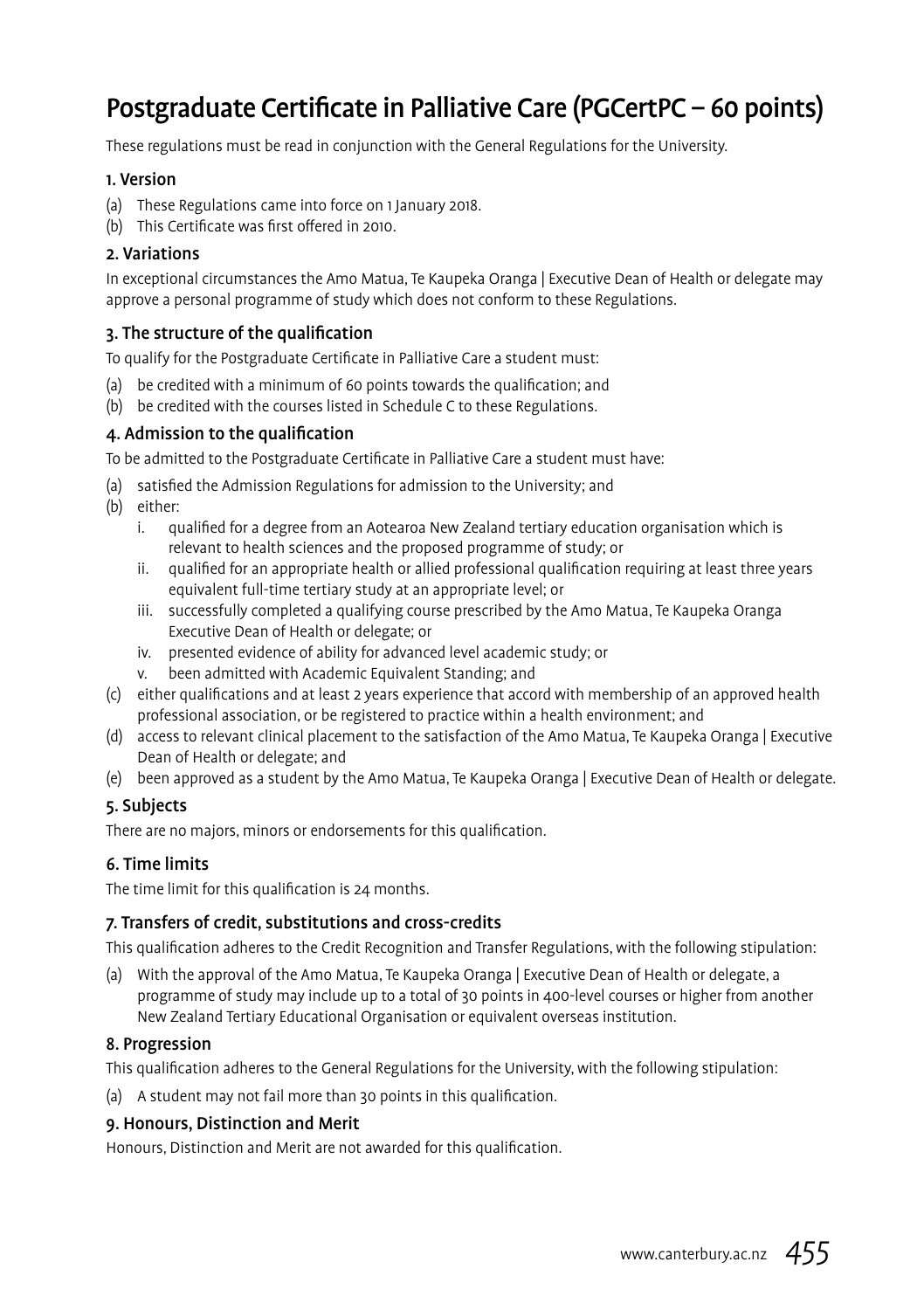# Postgraduate Certificate in Palliative Care (PGCertPC – 60 points)

These regulations must be read in conjunction with the General Regulations for the University.

#### 1. Version

- (a) These Regulations came into force on 1 January 2018.
- (b) This Certificate was first offered in 2010.

# 2. Variations

In exceptional circumstances the Amo Matua, Te Kaupeka Oranga | Executive Dean of Health or delegate may approve a personal programme of study which does not conform to these Regulations.

# 3. The structure of the qualification

To qualify for the Postgraduate Certificate in Palliative Care a student must:

- (a) be credited with a minimum of 60 points towards the qualification; and
- (b) be credited with the courses listed in Schedule C to these Regulations.

### 4. Admission to the qualification

To be admitted to the Postgraduate Certificate in Palliative Care a student must have:

- (a) satisfied the Admission Regulations for admission to the University; and
- (b) either:
	- i. qualified for a degree from an Aotearoa New Zealand tertiary education organisation which is relevant to health sciences and the proposed programme of study; or
	- ii. qualified for an appropriate health or allied professional qualification requiring at least three years equivalent full-time tertiary study at an appropriate level; or
	- iii. successfully completed a qualifying course prescribed by the Amo Matua, Te Kaupeka Oranga Executive Dean of Health or delegate; or
	- iv. presented evidence of ability for advanced level academic study; or
	- v. been admitted with Academic Equivalent Standing; and
- (c) either qualifications and at least 2 years experience that accord with membership of an approved health professional association, or be registered to practice within a health environment; and
- (d) access to relevant clinical placement to the satisfaction of the Amo Matua, Te Kaupeka Oranga | Executive Dean of Health or delegate; and
- (e) been approved as a student by the Amo Matua, Te Kaupeka Oranga | Executive Dean of Health or delegate.

# 5. Subjects

There are no majors, minors or endorsements for this qualification.

# 6. Time limits

The time limit for this qualification is 24 months.

## 7. Transfers of credit, substitutions and cross-credits

This qualification adheres to the Credit Recognition and Transfer Regulations, with the following stipulation:

(a) With the approval of the Amo Matua, Te Kaupeka Oranga | Executive Dean of Health or delegate, a programme of study may include up to a total of 30 points in 400-level courses or higher from another New Zealand Tertiary Educational Organisation or equivalent overseas institution.

#### 8. Progression

This qualification adheres to the General Regulations for the University, with the following stipulation:

(a) A student may not fail more than 30 points in this qualification.

# 9. Honours, Distinction and Merit

Honours, Distinction and Merit are not awarded for this qualification.